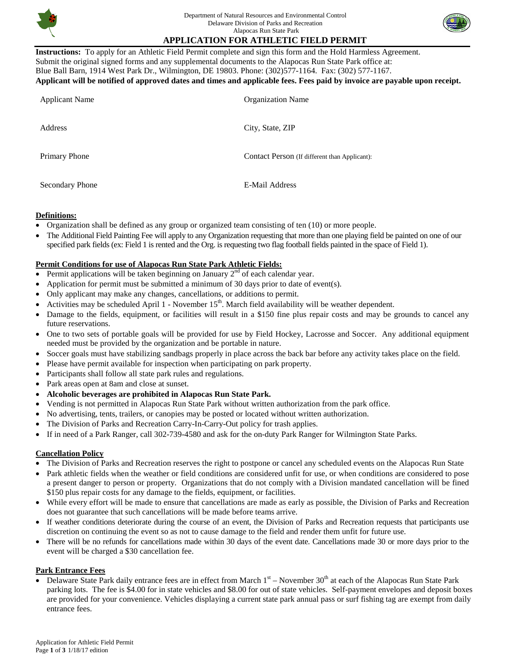

# **APPLICATION FOR ATHLETIC FIELD PERMIT**

**Instructions:** To apply for an Athletic Field Permit complete and sign this form and the Hold Harmless Agreement. Submit the original signed forms and any supplemental documents to the Alapocas Run State Park office at: Blue Ball Barn, 1914 West Park Dr., Wilmington, DE 19803. Phone: (302)577-1164. Fax: (302) 577-1167. **Applicant will be notified of approved dates and times and applicable fees. Fees paid by invoice are payable upon receipt.** 

| <b>Applicant Name</b>  | <b>Organization Name</b>                      |
|------------------------|-----------------------------------------------|
| Address                | City, State, ZIP                              |
| Primary Phone          | Contact Person (If different than Applicant): |
| <b>Secondary Phone</b> | <b>E-Mail Address</b>                         |

#### **Definitions:**

- Organization shall be defined as any group or organized team consisting of ten (10) or more people.
- The Additional Field Painting Fee will apply to any Organization requesting that more than one playing field be painted on one of our specified park fields (ex: Field 1 is rented and the Org. is requesting two flag football fields painted in the space of Field 1).

### **Permit Conditions for use of Alapocas Run State Park Athletic Fields:**

- Permit applications will be taken beginning on January  $2<sup>nd</sup>$  of each calendar year.
- Application for permit must be submitted a minimum of 30 days prior to date of event(s).
- Only applicant may make any changes, cancellations, or additions to permit.
- Activities may be scheduled April 1 November  $15<sup>th</sup>$ . March field availability will be weather dependent.
- Damage to the fields, equipment, or facilities will result in a \$150 fine plus repair costs and may be grounds to cancel any future reservations.
- One to two sets of portable goals will be provided for use by Field Hockey, Lacrosse and Soccer. Any additional equipment needed must be provided by the organization and be portable in nature.
- Soccer goals must have stabilizing sandbags properly in place across the back bar before any activity takes place on the field.
- Please have permit available for inspection when participating on park property.
- Participants shall follow all state park rules and regulations.
- Park areas open at 8am and close at sunset.
- **Alcoholic beverages are prohibited in Alapocas Run State Park.**
- Vending is not permitted in Alapocas Run State Park without written authorization from the park office.
- No advertising, tents, trailers, or canopies may be posted or located without written authorization.
- The Division of Parks and Recreation Carry-In-Carry-Out policy for trash applies.
- If in need of a Park Ranger, call 302-739-4580 and ask for the on-duty Park Ranger for Wilmington State Parks.

### **Cancellation Policy**

- The Division of Parks and Recreation reserves the right to postpone or cancel any scheduled events on the Alapocas Run State
- Park athletic fields when the weather or field conditions are considered unfit for use, or when conditions are considered to pose a present danger to person or property. Organizations that do not comply with a Division mandated cancellation will be fined \$150 plus repair costs for any damage to the fields, equipment, or facilities.
- While every effort will be made to ensure that cancellations are made as early as possible, the Division of Parks and Recreation does not guarantee that such cancellations will be made before teams arrive.
- If weather conditions deteriorate during the course of an event, the Division of Parks and Recreation requests that participants use discretion on continuing the event so as not to cause damage to the field and render them unfit for future use.
- There will be no refunds for cancellations made within 30 days of the event date. Cancellations made 30 or more days prior to the event will be charged a \$30 cancellation fee.

### **Park Entrance Fees**

• Delaware State Park daily entrance fees are in effect from March  $1<sup>st</sup>$  – November 30<sup>th</sup> at each of the Alapocas Run State Park parking lots. The fee is \$4.00 for in state vehicles and \$8.00 for out of state vehicles. Self-payment envelopes and deposit boxes are provided for your convenience. Vehicles displaying a current state park annual pass or surf fishing tag are exempt from daily entrance fees.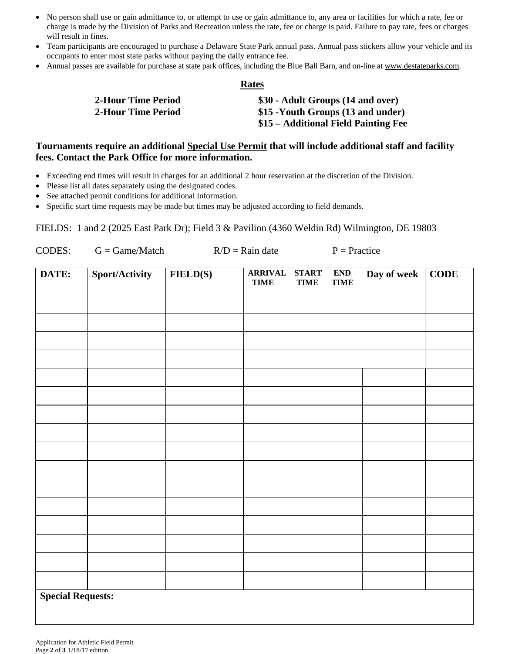- No person shall use or gain admittance to, or attempt to use or gain admittance to, any area or facilities for which a rate, fee or charge is made by the Division of Parks and Recreation unless the rate, fee or charge is paid. Failure to pay rate, fees or charges will result in fines.
- Team participants are encouraged to purchase a Delaware State Park annual pass. Annual pass stickers allow your vehicle and its occupants to enter most state parks without paying the daily entrance fee.
- Annual passes are available for purchase at state park offices, including the Blue Ball Barn, and on-line at [www.destateparks.com.](http://www.destateparks.com/)

**Rates**

| 2-Hour Time Period        | \$30 - Adult Groups (14 and over)    |
|---------------------------|--------------------------------------|
| <b>2-Hour Time Period</b> | \$15 -Youth Groups (13 and under)    |
|                           | \$15 – Additional Field Painting Fee |

## **Tournaments require an additional Special Use Permit that will include additional staff and facility fees. Contact the Park Office for more information.**

- Exceeding end times will result in charges for an additional 2 hour reservation at the discretion of the Division.
- Please list all dates separately using the designated codes.
- See attached permit conditions for additional information.
- Specific start time requests may be made but times may be adjusted according to field demands.

FIELDS: 1 and 2 (2025 East Park Dr); Field 3 & Pavilion (4360 Weldin Rd) Wilmington, DE 19803

| CODES:                   | $G = Game/Match$ | $R/D =$ Rain date |                               | $P = Practice$              |                           |             |             |
|--------------------------|------------------|-------------------|-------------------------------|-----------------------------|---------------------------|-------------|-------------|
| DATE:                    | Sport/Activity   | <b>FIELD(S)</b>   | <b>ARRIVAL</b><br><b>TIME</b> | <b>START</b><br><b>TIME</b> | <b>END</b><br><b>TIME</b> | Day of week | <b>CODE</b> |
|                          |                  |                   |                               |                             |                           |             |             |
|                          |                  |                   |                               |                             |                           |             |             |
|                          |                  |                   |                               |                             |                           |             |             |
|                          |                  |                   |                               |                             |                           |             |             |
|                          |                  |                   |                               |                             |                           |             |             |
|                          |                  |                   |                               |                             |                           |             |             |
|                          |                  |                   |                               |                             |                           |             |             |
|                          |                  |                   |                               |                             |                           |             |             |
|                          |                  |                   |                               |                             |                           |             |             |
|                          |                  |                   |                               |                             |                           |             |             |
|                          |                  |                   |                               |                             |                           |             |             |
|                          |                  |                   |                               |                             |                           |             |             |
|                          |                  |                   |                               |                             |                           |             |             |
|                          |                  |                   |                               |                             |                           |             |             |
|                          |                  |                   |                               |                             |                           |             |             |
|                          |                  |                   |                               |                             |                           |             |             |
| <b>Special Requests:</b> |                  |                   |                               |                             |                           |             |             |